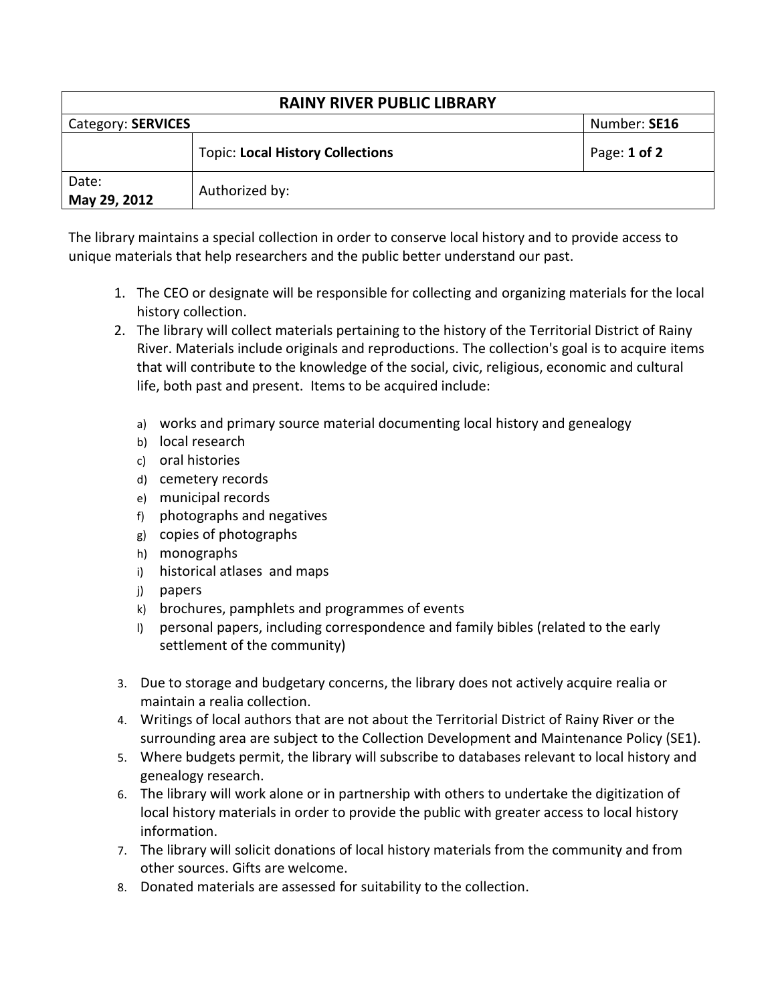| <b>RAINY RIVER PUBLIC LIBRARY</b> |                                         |              |  |
|-----------------------------------|-----------------------------------------|--------------|--|
| Category: SERVICES                |                                         | Number: SE16 |  |
|                                   | <b>Topic: Local History Collections</b> | Page: 1 of 2 |  |
| Date:<br>May 29, 2012             | Authorized by:                          |              |  |

The library maintains a special collection in order to conserve local history and to provide access to unique materials that help researchers and the public better understand our past.

- 1. The CEO or designate will be responsible for collecting and organizing materials for the local history collection.
- 2. The library will collect materials pertaining to the history of the Territorial District of Rainy River. Materials include originals and reproductions. The collection's goal is to acquire items that will contribute to the knowledge of the social, civic, religious, economic and cultural life, both past and present. Items to be acquired include:
	- a) works and primary source material documenting local history and genealogy
	- b) local research
	- c) oral histories
	- d) cemetery records
	- e) municipal records
	- f) photographs and negatives
	- g) copies of photographs
	- h) monographs
	- i) historical atlases and maps
	- j) papers
	- k) brochures, pamphlets and programmes of events
	- l) personal papers, including correspondence and family bibles (related to the early settlement of the community)
- 3. Due to storage and budgetary concerns, the library does not actively acquire realia or maintain a realia collection.
- 4. Writings of local authors that are not about the Territorial District of Rainy River or the surrounding area are subject to the Collection Development and Maintenance Policy (SE1).
- 5. Where budgets permit, the library will subscribe to databases relevant to local history and genealogy research.
- 6. The library will work alone or in partnership with others to undertake the digitization of local history materials in order to provide the public with greater access to local history information.
- 7. The library will solicit donations of local history materials from the community and from other sources. Gifts are welcome.
- 8. Donated materials are assessed for suitability to the collection.